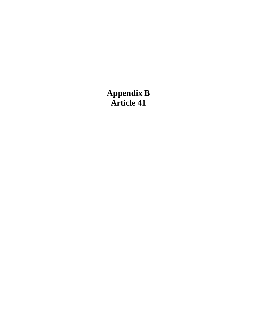# **Appendix B Article 41**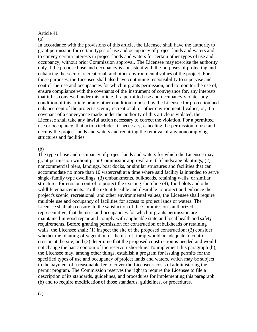#### Article 41 (a)

In accordance with the provisions of this article, the Licensee shall have the authorityto grant permission for certain types of use and occupancy of project lands and waters and to convey certain interests in project lands and waters for certain other types of use and occupancy, without prior Commission approval. The Licensee mayexercise the authority only if the proposed use and occupancy is consistent with the purposes of protecting and enhancing the scenic, recreational, and other environmental values of the project. For those purposes, the Licensee shall also have continuing responsibility to supervise and control the use and occupancies for which it grants permission, and to monitor the use of, ensure compliance with the covenants of the instrument of conveyance for, any interests that it has conveyed under this article. If a permitted use and occupancy violates any condition of this article or any other condition imposed by the Licensee for protection and enhancement of the project's scenic, recreational, or other environmental values, or, if a covenant of a conveyance made under the authority of this article is violated, the Licensee shall take any lawful action necessary to correct the violation. For a permitted use or occupancy, that action includes, if necessary, canceling the permission to use and occupy the project lands and waters and requiring the removal of any noncomplying structures and facilities.

### (b)

The type of use and occupancy of project lands and waters for which the Licensee may grant permission without prior Commissionapproval are: (1) landscape plantings; (2) noncommercial piers, landings, boat docks, or similar structures and facilities that can accommodate no more than 10 watercraft at a time where said facility is intended to serve single-family type dwellings; (3) embankments, bulkheads, retaining walls, or similar structures for erosion control to protect the existing shoreline (4); food plots and other wildlife enhancements. To the extent feasible and desirable to protect and enhance the project's scenic, recreational, and other environmental values, the Licensee shall require multiple use and occupancy of facilities for access to project lands or waters. The Licensee shall also ensure, to the satisfaction of the Commission's authorized representative, that the uses and occupancies for which it grants permission are maintained in good repair and comply with applicable state and local health and safety requirements. Before granting permission for construction of bulkheads or retaining walls, the Licensee shall: (1) inspect the site of the proposed construction; (2) consider whether the planting of vegetation or the use of riprap would be adequate to control erosion at the site; and (3) determine that the proposed construction is needed and would not change the basic contour of the reservoir shoreline. To implement this paragraph (b), the Licensee may, among other things, establish a program for issuing permits for the specified types of use and occupancy of project lands and waters, which may be subject to the payment of a reasonable fee to cover the Licensee's costs of administering the permit program. The Commission reserves the right to require the Licensee to file a description of its standards, guidelines, and procedures for implementing this paragraph (b) and to require modificationof those standards, guidelines, or procedures.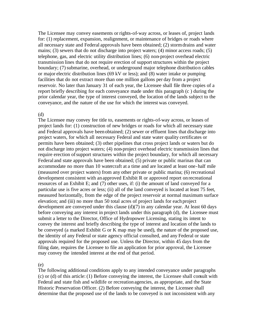The Licensee may convey easements or rights-of-way across, or leases of, project lands for: (1) replacement, expansion, realignment, or maintenance of bridges or roads where all necessary state and Federal approvals have been obtained; (2) stormdrains and water mains; (3) sewers that do not discharge into project waters; (4) minor access roads; (5) telephone, gas, and electric utility distribution lines; (6) non-project overhead electric transmission lines that do not require erection of support structures within the project boundary; (7) submarine, overhead, or underground major telephone distribution cables or major electric distribution lines (69 kV or less); and (8) water intake or pumping facilities that do not extract more than one million gallons per day from a project reservoir. No later than January 31 of each year, the Licensee shall file three copies of a report briefly describing for each conveyance made under this paragraph (c ) during the prior calendar year, the type of interest conveyed, the location of the lands subject to the conveyance, and the nature of the use for which the interest was conveyed.

### (d)

The Licensee may convey fee title to, easements or rights-of-way across, or leases of project lands for: (1) construction of new bridges or roads for which all necessary state and Federal approvals have been obtained; (2) sewer or effluent lines that discharge into project waters, for which all necessary Federal and state water quality certificates or permits have been obtained; (3) other pipelines that cross project lands or waters but do not discharge into project waters; (4) non-project overhead electric transmission lines that require erection of support structures within the project boundary, for which all necessary Federal and state approvals have been obtained; (5) private or public marinas that can accommodate no more than 10 watercraft at a time and are located at least one-half mile (measured over project waters) from any other private or public marina; (6) recreational development consistent with an approved Exhibit R or approved report on recreational resources of an Exhibit E; and (7) other uses, if: (i) the amount of land conveyed for a particular use is five acres or less; (ii) all of the land conveyed is located at least 75 feet, measured horizontally, from the edge of the project reservoir at normal maximum surface elevation; and (iii) no more than 50 total acres of project lands for eachproject development are conveyed under this clause (d)(7) in any calendar year. At least 60 days before conveying any interest in project lands under this paragraph (d), the Licensee must submit a letter to the Director, Office of Hydropower Licensing, stating its intent to convey the interest and briefly describing the type of interest and location ofthe lands to be conveyed (a marked Exhibit G or K map may be used), the nature of the proposed use, the identity of any Federal or state agency official consulted, and any Federal or state approvals required for the proposed use. Unless the Director, within 45 days from the filing date, requires the Licensee to file an application for prior approval, the Licensee may convey the intended interest at the end of that period.

### (e)

The following additional conditions apply to any intended conveyance under paragraphs (c) or (d) of this article: (1) Before conveying the interest, the Licensee shall consult with Federal and state fish and wildlife or recreation agencies, as appropriate, and the State Historic Preservation Officer. (2) Before conveying the interest, the Licensee shall determine that the proposed use of the lands to be conveyed is not inconsistent with any